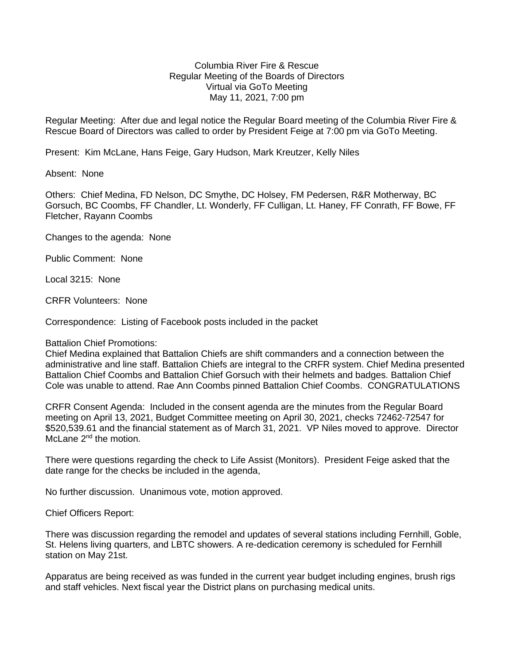## Columbia River Fire & Rescue Regular Meeting of the Boards of Directors Virtual via GoTo Meeting May 11, 2021, 7:00 pm

Regular Meeting: After due and legal notice the Regular Board meeting of the Columbia River Fire & Rescue Board of Directors was called to order by President Feige at 7:00 pm via GoTo Meeting.

Present: Kim McLane, Hans Feige, Gary Hudson, Mark Kreutzer, Kelly Niles

Absent: None

Others: Chief Medina, FD Nelson, DC Smythe, DC Holsey, FM Pedersen, R&R Motherway, BC Gorsuch, BC Coombs, FF Chandler, Lt. Wonderly, FF Culligan, Lt. Haney, FF Conrath, FF Bowe, FF Fletcher, Rayann Coombs

Changes to the agenda: None

Public Comment: None

Local 3215: None

CRFR Volunteers: None

Correspondence: Listing of Facebook posts included in the packet

Battalion Chief Promotions:

Chief Medina explained that Battalion Chiefs are shift commanders and a connection between the administrative and line staff. Battalion Chiefs are integral to the CRFR system. Chief Medina presented Battalion Chief Coombs and Battalion Chief Gorsuch with their helmets and badges. Battalion Chief Cole was unable to attend. Rae Ann Coombs pinned Battalion Chief Coombs. CONGRATULATIONS

CRFR Consent Agenda: Included in the consent agenda are the minutes from the Regular Board meeting on April 13, 2021, Budget Committee meeting on April 30, 2021, checks 72462-72547 for \$520,539.61 and the financial statement as of March 31, 2021. VP Niles moved to approve. Director McLane 2<sup>nd</sup> the motion.

There were questions regarding the check to Life Assist (Monitors). President Feige asked that the date range for the checks be included in the agenda,

No further discussion. Unanimous vote, motion approved.

Chief Officers Report:

There was discussion regarding the remodel and updates of several stations including Fernhill, Goble, St. Helens living quarters, and LBTC showers. A re-dedication ceremony is scheduled for Fernhill station on May 21st.

Apparatus are being received as was funded in the current year budget including engines, brush rigs and staff vehicles. Next fiscal year the District plans on purchasing medical units.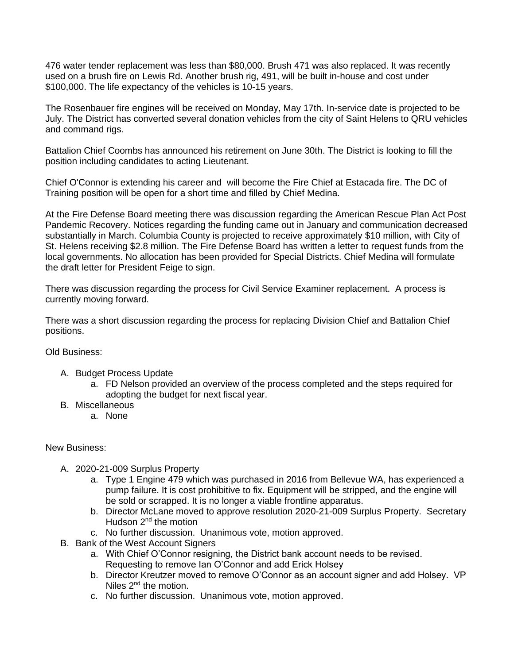476 water tender replacement was less than \$80,000. Brush 471 was also replaced. It was recently used on a brush fire on Lewis Rd. Another brush rig, 491, will be built in-house and cost under \$100,000. The life expectancy of the vehicles is 10-15 years.

The Rosenbauer fire engines will be received on Monday, May 17th. In-service date is projected to be July. The District has converted several donation vehicles from the city of Saint Helens to QRU vehicles and command rigs.

Battalion Chief Coombs has announced his retirement on June 30th. The District is looking to fill the position including candidates to acting Lieutenant.

Chief O'Connor is extending his career and will become the Fire Chief at Estacada fire. The DC of Training position will be open for a short time and filled by Chief Medina.

At the Fire Defense Board meeting there was discussion regarding the American Rescue Plan Act Post Pandemic Recovery. Notices regarding the funding came out in January and communication decreased substantially in March. Columbia County is projected to receive approximately \$10 million, with City of St. Helens receiving \$2.8 million. The Fire Defense Board has written a letter to request funds from the local governments. No allocation has been provided for Special Districts. Chief Medina will formulate the draft letter for President Feige to sign.

There was discussion regarding the process for Civil Service Examiner replacement. A process is currently moving forward.

There was a short discussion regarding the process for replacing Division Chief and Battalion Chief positions.

Old Business:

- A. Budget Process Update
	- a. FD Nelson provided an overview of the process completed and the steps required for adopting the budget for next fiscal year.
- B. Miscellaneous
	- a. None

## New Business:

- A. 2020-21-009 Surplus Property
	- a. Type 1 Engine 479 which was purchased in 2016 from Bellevue WA, has experienced a pump failure. It is cost prohibitive to fix. Equipment will be stripped, and the engine will be sold or scrapped. It is no longer a viable frontline apparatus.
	- b. Director McLane moved to approve resolution 2020-21-009 Surplus Property. Secretary Hudson 2<sup>nd</sup> the motion
	- c. No further discussion. Unanimous vote, motion approved.
- B. Bank of the West Account Signers
	- a. With Chief O'Connor resigning, the District bank account needs to be revised. Requesting to remove Ian O'Connor and add Erick Holsey
	- b. Director Kreutzer moved to remove O'Connor as an account signer and add Holsey. VP Niles 2<sup>nd</sup> the motion.
	- c. No further discussion. Unanimous vote, motion approved.